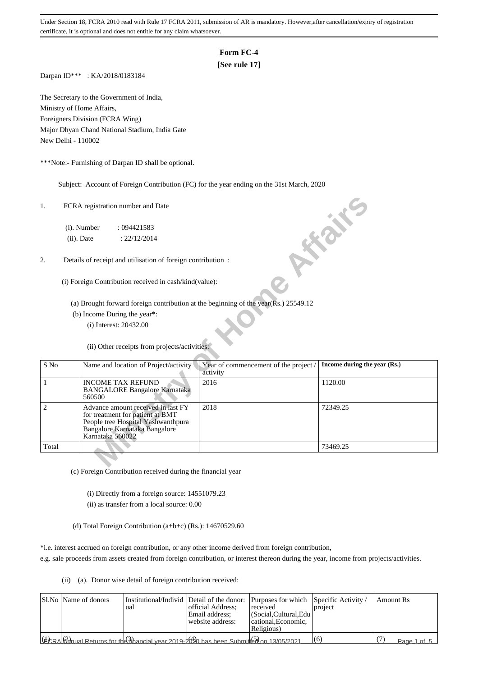## **Form FC-4**

## **[See rule 17]**

Darpan ID\*\*\* : KA/2018/0183184

The Secretary to the Government of India, Ministry of Home Affairs, Foreigners Division (FCRA Wing) Major Dhyan Chand National Stadium, India Gate New Delhi - 110002

\*\*\*Note:- Furnishing of Darpan ID shall be optional.

Subject: Account of Foreign Contribution (FC) for the year ending on the 31st March, 2020

| 1.             |                  | FCRA registration number and Date                                                                                                             |                                                                                     | <b>HIGHE</b>                 |
|----------------|------------------|-----------------------------------------------------------------------------------------------------------------------------------------------|-------------------------------------------------------------------------------------|------------------------------|
|                | (i). Number      | : 094421583                                                                                                                                   |                                                                                     |                              |
|                | $(ii)$ . Date    | : 22/12/2014                                                                                                                                  |                                                                                     |                              |
| 2.             |                  | Details of receipt and utilisation of foreign contribution:                                                                                   |                                                                                     |                              |
|                |                  | (i) Foreign Contribution received in cash/kind(value):                                                                                        |                                                                                     |                              |
|                |                  |                                                                                                                                               | (a) Brought forward foreign contribution at the beginning of the year(Rs.) 25549.12 |                              |
|                |                  | (b) Income During the year*:                                                                                                                  |                                                                                     |                              |
|                |                  | (i) Interest: 20432.00                                                                                                                        |                                                                                     |                              |
|                |                  | (ii) Other receipts from projects/activities:                                                                                                 |                                                                                     |                              |
| S No           |                  | Name and location of Project/activity                                                                                                         | Year of commencement of the project /<br>activity                                   | Income during the year (Rs.) |
| 1              | 560500           | <b>INCOME TAX REFUND</b><br><b>BANGALORE Bangalore Karnataka</b>                                                                              | 2016                                                                                | 1120.00                      |
| $\overline{2}$ | Karnataka 560022 | Advance amount received in last FY<br>for treatment for patient at BMT<br>People tree Hospital Yashwanthpura<br>Bangalore Karnataka Bangalore | 2018                                                                                | 72349.25                     |
| Total          |                  |                                                                                                                                               |                                                                                     | 73469.25                     |
|                |                  |                                                                                                                                               |                                                                                     |                              |

(c) Foreign Contribution received during the financial year

(i) Directly from a foreign source: 14551079.23

(ii) as transfer from a local source: 0.00

(d) Total Foreign Contribution (a+b+c) (Rs.): 14670529.60

\*i.e. interest accrued on foreign contribution, or any other income derived from foreign contribution,

e.g. sale proceeds from assets created from foreign contribution, or interest thereon during the year, income from projects/activities.

(ii) (a). Donor wise detail of foreign contribution received:

| SI.No Name of donors                                                                                                                         | Institutional/Individ Detail of the donor: Purposes for which Specific Activity /<br>ual | official Address:<br>Email address:<br>website address: | received<br> (Social,Cultural,Edu)<br>cational. Economic.<br>Religious) | project | l Amount Rs |             |
|----------------------------------------------------------------------------------------------------------------------------------------------|------------------------------------------------------------------------------------------|---------------------------------------------------------|-------------------------------------------------------------------------|---------|-------------|-------------|
| $(\text{H}_{CRA}(\mathcal{Q}_{d}^{2})_{\text{on}})$ Returns for the $\{\hat{i}_{\text{th}}\}$ has 2019-2020 has been Submitter on 13/05/2021 |                                                                                          |                                                         |                                                                         | (6)     |             | Page 1 of 5 |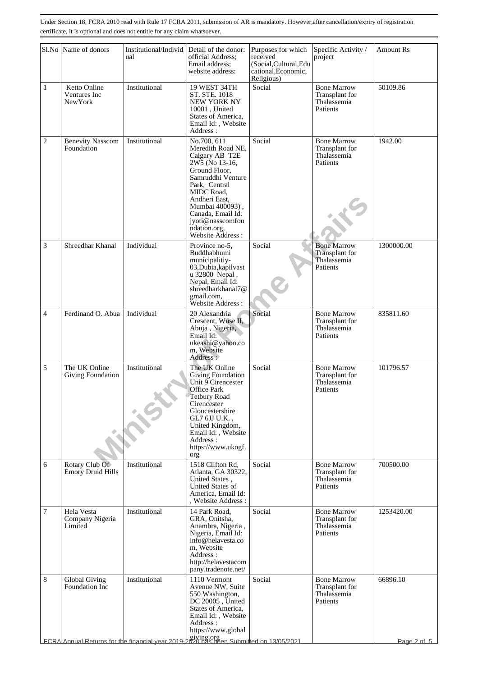|                | Sl.No Name of donors                            | Institutional/Individ<br>ual                                                                           | Detail of the donor:<br>official Address;<br>Email address:<br>website address:                                                                                                                                                                            | Purposes for which<br>received<br>(Social, Cultural, Edu<br>cational, Economic, | Specific Activity /<br>project                                  | <b>Amount Rs</b> |
|----------------|-------------------------------------------------|--------------------------------------------------------------------------------------------------------|------------------------------------------------------------------------------------------------------------------------------------------------------------------------------------------------------------------------------------------------------------|---------------------------------------------------------------------------------|-----------------------------------------------------------------|------------------|
| $\mathbf{1}$   | Ketto Online<br>Ventures Inc<br><b>New York</b> | Institutional                                                                                          | 19 WEST 34TH<br>ST. STE. 1018<br>NEW YORK NY<br>10001, United<br>States of America,<br>Email Id:, Website<br>Address:                                                                                                                                      | Religious)<br>Social                                                            | <b>Bone Marrow</b><br>Transplant for<br>Thalassemia<br>Patients | 50109.86         |
| $\overline{c}$ | <b>Benevity Nasscom</b><br>Foundation           | Institutional                                                                                          | No.700, 611<br>Meredith Road NE,<br>Calgary AB T2E<br>2W5 (No 13-16,<br>Ground Floor,<br>Samruddhi Venture<br>Park, Central<br>MIDC Road,<br>Andheri East,<br>Mumbai 400093),<br>Canada, Email Id:<br>jyoti@nasscomfou<br>ndation.org,<br>Website Address: | Social                                                                          | <b>Bone Marrow</b><br>Transplant for<br>Thalassemia<br>Patients | 1942.00          |
| 3              | Shreedhar Khanal                                | Individual                                                                                             | Province no-5.<br>Buddhabhumi<br>municipalitiy-<br>03, Dubia, kapilvast<br>u 32800 Nepal,<br>Nepal, Email Id:<br>shreedharkhanal7@<br>gmail.com,<br>Website Address:                                                                                       | Social                                                                          | <b>Bone Marrow</b><br>Transplant for<br>Thalassemia<br>Patients | 1300000.00       |
| $\overline{4}$ | Ferdinand O. Abua                               | Individual                                                                                             | 20 Alexandria<br>Crescent, Wuse II,<br>Abuja, Nigeria,<br>Email Id:<br>ukeashi@yahoo.co<br>m, Website<br>Address:                                                                                                                                          | Social                                                                          | <b>Bone Marrow</b><br>Transplant for<br>Thalassemia<br>Patients | 835811.60        |
| 5              | The UK Online<br>Giving Foundation              | Institutional                                                                                          | The UK Online<br>Giving Foundation<br>Unit 9 Cirencester<br><b>Office Park</b><br>Tetbury Road<br>Cirencester<br>Gloucestershire<br>GL7 6JJ U.K.,<br>United Kingdom,<br>Email Id:, Website<br>Address:<br>https://www.ukogf.<br>org                        | Social                                                                          | <b>Bone Marrow</b><br>Transplant for<br>Thalassemia<br>Patients | 101796.57        |
| 6              | Rotary Club Of<br><b>Emory Druid Hills</b>      | Institutional                                                                                          | 1518 Clifton Rd,<br>Atlanta, GA 30322,<br>United States,<br>United States of<br>America, Email Id:<br>, Website Address:                                                                                                                                   | Social                                                                          | <b>Bone Marrow</b><br>Transplant for<br>Thalassemia<br>Patients | 700500.00        |
| $\overline{7}$ | Hela Vesta<br>Company Nigeria<br>Limited        | Institutional                                                                                          | 14 Park Road,<br>GRA, Onitsha,<br>Anambra, Nigeria,<br>Nigeria, Email Id:<br>info@helavesta.co<br>m. Website<br>Address:<br>http://helavestacom<br>pany.tradenote.net/                                                                                     | Social                                                                          | <b>Bone Marrow</b><br>Transplant for<br>Thalassemia<br>Patients | 1253420.00       |
| 8              | Global Giving<br>Foundation Inc                 | Institutional<br>FCRA Annual Returns for the financial year 2019-2020 has been Submitted on 13/05/2021 | 1110 Vermont<br>Avenue NW, Suite<br>550 Washington,<br>DC 20005, United<br>States of America,<br>Email Id:, Website<br>Address:<br>https://www.global                                                                                                      | Social                                                                          | <b>Bone Marrow</b><br>Transplant for<br>Thalassemia<br>Patients | 66896.10         |
|                |                                                 |                                                                                                        |                                                                                                                                                                                                                                                            |                                                                                 |                                                                 | Page 2 of 5      |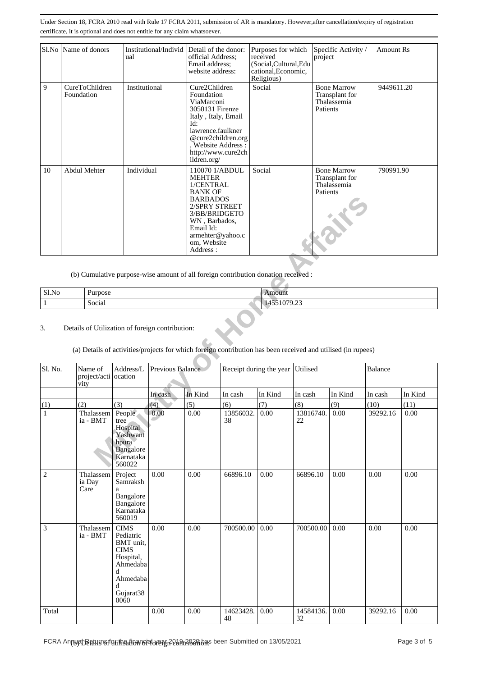|    | Sl.No   Name of donors       | Institutional/Individ Detail of the donor:<br>ual | official Address;<br>Email address:<br>website address:                                                                                                                                          | Purposes for which<br>received<br>(Social, Cultural, Edu<br>cational, Economic,<br>Religious) | Specific Activity /<br>project                                  | <b>Amount Rs</b> |
|----|------------------------------|---------------------------------------------------|--------------------------------------------------------------------------------------------------------------------------------------------------------------------------------------------------|-----------------------------------------------------------------------------------------------|-----------------------------------------------------------------|------------------|
| 9  | CureToChildren<br>Foundation | Institutional                                     | Cure2Children<br>Foundation<br>ViaMarconi<br>3050131 Firenze<br>Italy, Italy, Email<br>Id:<br>lawrence.faulkner<br>@cure2children.org<br>, Website Address:<br>http://www.cure2ch<br>ildren.org/ | Social                                                                                        | <b>Bone Marrow</b><br>Transplant for<br>Thalassemia<br>Patients | 9449611.20       |
| 10 | Abdul Mehter                 | Individual                                        | 110070 1/ABDUL<br><b>MEHTER</b><br>1/CENTRAL<br><b>BANK OF</b><br><b>BARBADOS</b><br>2/SPRY STREET<br>3/BB/BRIDGETO<br>WN, Barbados,<br>Email Id:<br>armehter@yahoo.c<br>om, Website<br>Address: | Social                                                                                        | <b>Bone Marrow</b><br>Transplant for<br>Thalassemia<br>Patients | 790991.90        |

| Sl.No | $\mathbf{r}$<br>Purpose | Amount                                     |
|-------|-------------------------|--------------------------------------------|
|       | Social                  | $\sim$<br>. <i>.</i><br>$\cdots$<br>$\sim$ |

### 3. Details of Utilization of foreign contribution:

# (a) Details of activities/projects for which foreign contribution has been received and utilised (in rupees)

|                |                                         |                                                                                                                          |                  | <b>BARBADOS</b><br>2/SPRY STREET<br>3/BB/BRIDGETO<br>WN, Barbados,<br>Email Id:<br>armehter@yahoo.c<br>om, Website<br>Address: |                                                                                                              |                         |                 | <b>1.215</b> |          |         |
|----------------|-----------------------------------------|--------------------------------------------------------------------------------------------------------------------------|------------------|--------------------------------------------------------------------------------------------------------------------------------|--------------------------------------------------------------------------------------------------------------|-------------------------|-----------------|--------------|----------|---------|
|                |                                         |                                                                                                                          |                  |                                                                                                                                | (b) Cumulative purpose-wise amount of all foreign contribution donation received :                           |                         |                 |              |          |         |
| Sl.No          | Purpose                                 |                                                                                                                          |                  |                                                                                                                                |                                                                                                              | Amount                  |                 |              |          |         |
| $\mathbf{1}$   | Social                                  |                                                                                                                          |                  |                                                                                                                                |                                                                                                              | 14551079.23             |                 |              |          |         |
| 3.             |                                         | Details of Utilization of foreign contribution:                                                                          |                  |                                                                                                                                | (a) Details of activities/projects for which foreign contribution has been received and utilised (in rupees) |                         |                 |              |          |         |
| Sl. No.        | Name of<br>project/acti ocation<br>vity | Address/L                                                                                                                | Previous Balance |                                                                                                                                |                                                                                                              | Receipt during the year | Utilised        |              | Balance  |         |
|                |                                         |                                                                                                                          | In cash          | In Kind                                                                                                                        | In cash                                                                                                      | In Kind                 | In cash         | In Kind      | In cash  | In Kind |
| (1)            | (2)                                     | (3)                                                                                                                      | (4)              | (5)                                                                                                                            | (6)                                                                                                          | (7)                     | (8)             | (9)          | (10)     | (11)    |
| $\mathbf{1}$   | Thalassem<br>ia - BMT                   | People<br>tree<br>Hospital<br>Yashwant<br>hpura<br>Bangalore<br>Karnataka<br>560022                                      | 0.00             | 0.00                                                                                                                           | 13856032.<br>38                                                                                              | 0.00                    | 13816740.<br>22 | 0.00         | 39292.16 | 0.00    |
| $\overline{c}$ | Thalassem<br>ia Day<br>Care             | Project<br>Samraksh<br>a<br>Bangalore<br>Bangalore<br>Karnataka<br>560019                                                | 0.00             | 0.00                                                                                                                           | 66896.10                                                                                                     | 0.00                    | 66896.10        | 0.00         | 0.00     | 0.00    |
| 3              | Thalassem<br>ia - BMT                   | <b>CIMS</b><br>Pediatric<br>BMT unit,<br><b>CIMS</b><br>Hospital,<br>Ahmedaba<br>d<br>Ahmedaba<br>d<br>Gujarat38<br>0060 | 0.00             | 0.00                                                                                                                           | 700500.00                                                                                                    | 0.00                    | 700500.00       | 0.00         | 0.00     | 0.00    |
| Total          |                                         |                                                                                                                          | 0.00             | $0.00\,$                                                                                                                       | 14623428.<br>48                                                                                              | 0.00                    | 14584136.<br>32 | 0.00         | 39292.16 | 0.00    |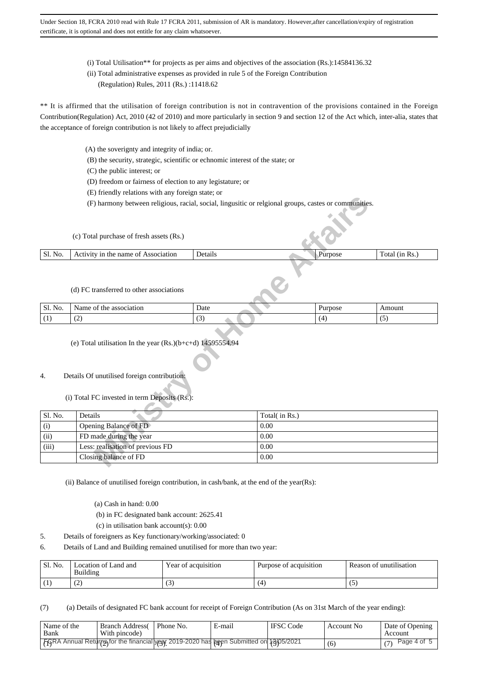- (i) Total Utilisation\*\* for projects as per aims and objectives of the association (Rs.):14584136.32
- (ii) Total administrative expenses as provided in rule 5 of the Foreign Contribution
	- (Regulation) Rules, 2011 (Rs.) :11418.62

\*\* It is affirmed that the utilisation of foreign contribution is not in contravention of the provisions contained in the Foreign Contribution(Regulation) Act, 2010 (42 of 2010) and more particularly in section 9 and section 12 of the Act which, inter-alia, states that the acceptance of foreign contribution is not likely to affect prejudicially

- (A) the soverignty and integrity of india; or.
- (B) the security, strategic, scientific or echnomic interest of the state; or
- (C) the public interest; or
- (D) freedom or fairness of election to any legistature; or
- (E) friendly relations with any foreign state; or
- (F) harmony between religious, racial, social, lingusitic or relgional groups, castes or communities.

For Pharmony between religious, racial, social, lingustic or relgional groups, castes or communities.<br>
All purchase of fresh assets (Rs.)<br>
We in the name of Association Details<br>
For Processor (SS.)<br>
Transferred to other as (c) Total purchase of fresh assets (Rs.) Sl. No. | Activity in the name of Association | Details Purpose Total (in Rs.)

(d) FC transferred to other associations

| Sl.<br>$\sim$<br>N <sub>O</sub><br>. | am<br>2010<br>1at101<br>OТ<br>١ť<br>. מ<br>rne<br>$\sim$ $\sim$ | Date<br>. | $ -$ | ıount |
|--------------------------------------|-----------------------------------------------------------------|-----------|------|-------|
| . .<br>$\blacksquare$                | $\sqrt{2}$<br>$\sim$                                            |           | - 14 | . .   |

(e) Total utilisation In the year (Rs.)(b+c+d) 14595554.94

### 4. Details Of unutilised foreign contribution:

(i) Total FC invested in term Deposits (Rs.):

| Sl. No. | Details                          | Total( in Rs.) |
|---------|----------------------------------|----------------|
| (i)     | Opening Balance of FD            | 0.00           |
| (ii)    | FD made during the year          | 0.00           |
| (iii)   | Less: realisation of previous FD | 0.00           |
|         | Closing balance of FD            | 0.00           |

(ii) Balance of unutilised foreign contribution, in cash/bank, at the end of the year(Rs):

(a) Cash in hand: 0.00

- (b) in FC designated bank account: 2625.41
- (c) in utilisation bank account(s): 0.00
- 5. Details of foreigners as Key functionary/working/associated: 0
- 6. Details of Land and Building remained unutilised for more than two year:

| Sl. No.    | ocation of Land and<br>Building | Year of acquisition | Purpose of acquisition | Reason of unutilisation |
|------------|---------------------------------|---------------------|------------------------|-------------------------|
| \ <b>1</b> | $\sqrt{2}$<br>$\sim$            | (3                  |                        | ι.,                     |

(7) (a) Details of designated FC bank account for receipt of Foreign Contribution (As on 31st March of the year ending):

| Name of the<br>' Bank | Branch Address (   Phone No.<br>With pincode) |                                                                                      | E-mail | <b>IFSC</b> Code | Account No | Date of Opening<br>Account |
|-----------------------|-----------------------------------------------|--------------------------------------------------------------------------------------|--------|------------------|------------|----------------------------|
|                       |                                               | FGRA Annual Return not the financial year 2019-2020 has been Submitted on 13/05/2021 |        |                  |            | Page 4 of 5<br>(7)         |